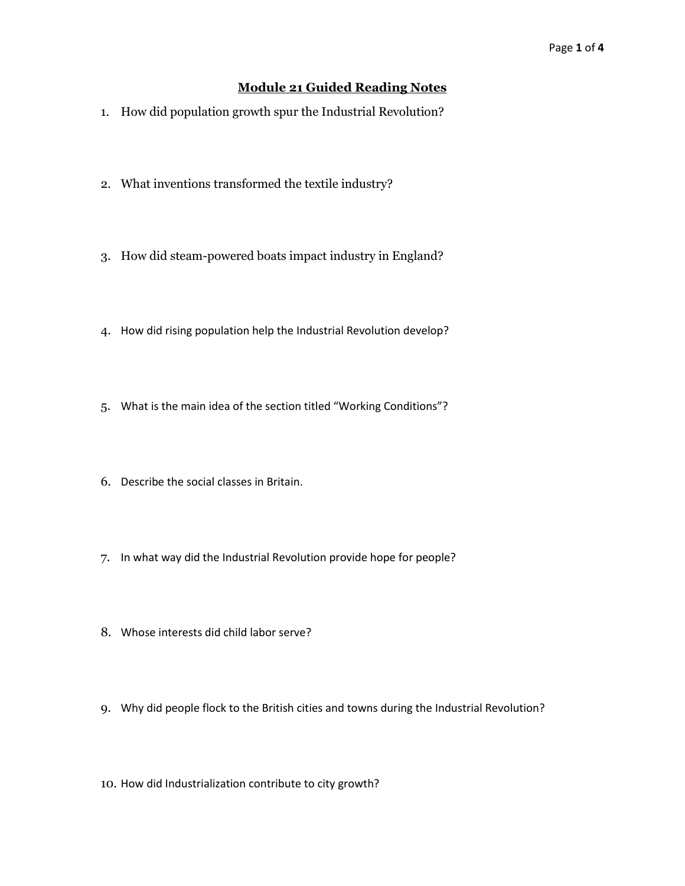## **Module 21 Guided Reading Notes**

- 1. How did population growth spur the Industrial Revolution?
- 2. What inventions transformed the textile industry?
- 3. How did steam-powered boats impact industry in England?
- 4. How did rising population help the Industrial Revolution develop?
- 5. What is the main idea of the section titled "Working Conditions"?
- 6. Describe the social classes in Britain.
- 7. In what way did the Industrial Revolution provide hope for people?
- 8. Whose interests did child labor serve?
- 9. Why did people flock to the British cities and towns during the Industrial Revolution?
- 10. How did Industrialization contribute to city growth?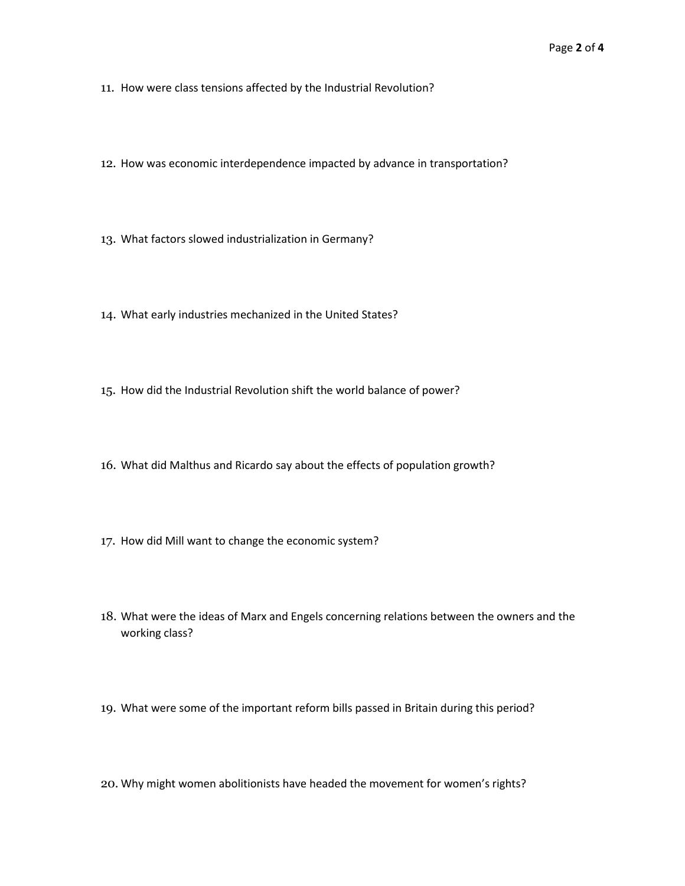- 11. How were class tensions affected by the Industrial Revolution?
- 12. How was economic interdependence impacted by advance in transportation?
- 13. What factors slowed industrialization in Germany?
- 14. What early industries mechanized in the United States?
- 15. How did the Industrial Revolution shift the world balance of power?
- 16. What did Malthus and Ricardo say about the effects of population growth?
- 17. How did Mill want to change the economic system?
- 18. What were the ideas of Marx and Engels concerning relations between the owners and the working class?
- 19. What were some of the important reform bills passed in Britain during this period?
- 20. Why might women abolitionists have headed the movement for women's rights?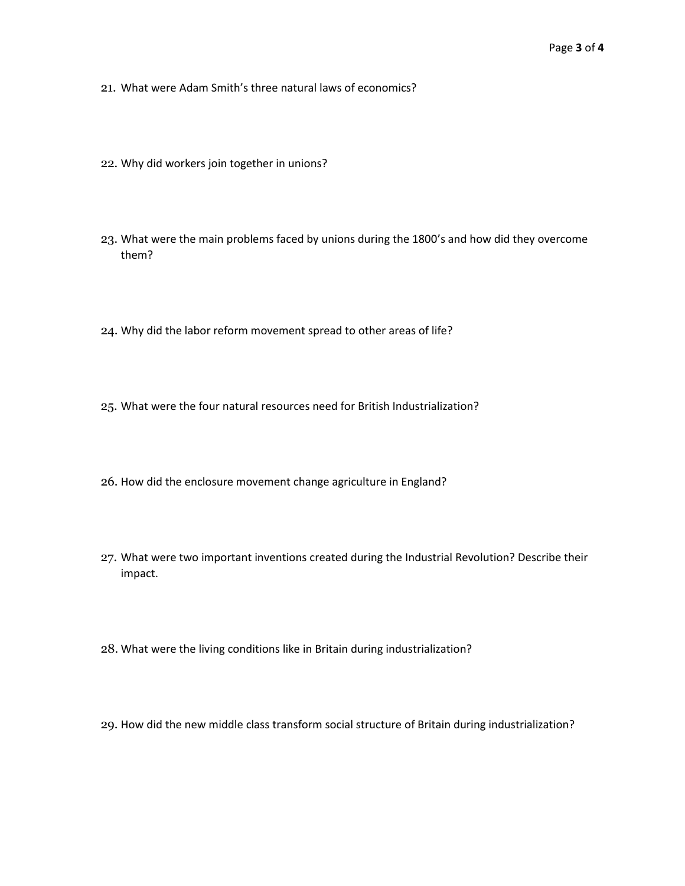- 21. What were Adam Smith's three natural laws of economics?
- 22. Why did workers join together in unions?
- 23. What were the main problems faced by unions during the 1800's and how did they overcome them?
- 24. Why did the labor reform movement spread to other areas of life?
- 25. What were the four natural resources need for British Industrialization?
- 26. How did the enclosure movement change agriculture in England?
- 27. What were two important inventions created during the Industrial Revolution? Describe their impact.
- 28. What were the living conditions like in Britain during industrialization?
- 29. How did the new middle class transform social structure of Britain during industrialization?